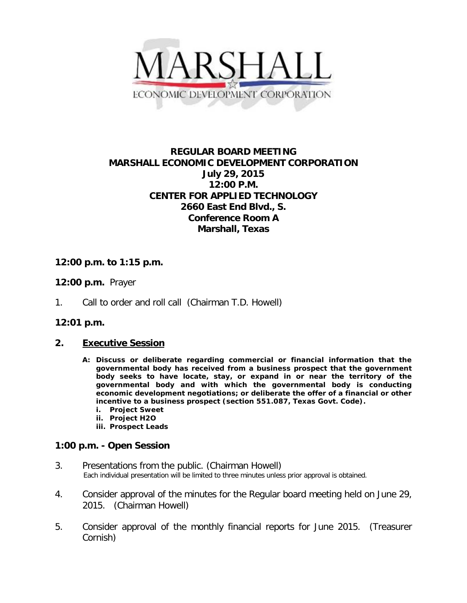

# **REGULAR BOARD MEETING MARSHALL ECONOMIC DEVELOPMENT CORPORATION July 29, 2015 12:00 P.M. CENTER FOR APPLIED TECHNOLOGY 2660 East End Blvd., S. Conference Room A Marshall, Texas**

## **12:00 p.m. to 1:15 p.m.**

## **12:00 p.m.** Prayer

1. Call to order and roll call (Chairman T.D. Howell)

## **12:01 p.m.**

### **2. Executive Session**

- **A: Discuss or deliberate regarding commercial or financial information that the governmental body has received from a business prospect that the government body seeks to have locate, stay, or expand in or near the territory of the governmental body and with which the governmental body is conducting economic development negotiations; or deliberate the offer of a financial or other incentive to a business prospect (section 551.087, Texas Govt. Code).**
	- **i. Project Sweet**
	- **ii. Project H2O**
	- **iii. Prospect Leads**

### **1:00 p.m. - Open Session**

- 3. Presentations from the public. (Chairman Howell)<br>Each individual presentation will be limited to three minutes unless prior approval is obtained.
- 4. Consider approval of the minutes for the Regular board meeting held on June 29, 2015. (Chairman Howell)
- 5. Consider approval of the monthly financial reports for June 2015. (Treasurer Cornish)